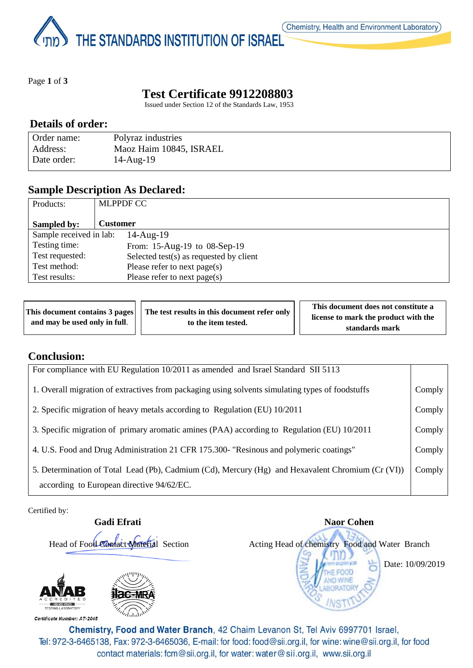THE STANDARDS INSTITUTION OF ISRAEL

Page **1** of **3**

# **Test Certificate 9912208803**

Issued under Section 12 of the Standards Law, 1953

### **Details of order:**

| Order name: | Polyraz industries      |
|-------------|-------------------------|
| Address:    | Maoz Haim 10845, ISRAEL |
| Date order: | $14$ -Aug- $19$         |

## **Sample Description As Declared:**

| Products:               | <b>MLPPDF CC</b>                           |
|-------------------------|--------------------------------------------|
| Sampled by:             | <b>Customer</b>                            |
| Sample received in lab: | $14$ -Aug- $19$                            |
| Testing time:           | From: 15-Aug-19 to 08-Sep-19               |
| Test requested:         | Selected test $(s)$ as requested by client |
| Test method:            | Please refer to next page(s)               |
| Test results:           | Please refer to next page(s)               |

|                               | This document contains 3 pages     The test results in this document refer only |                     | This document does not constitute a  |  |
|-------------------------------|---------------------------------------------------------------------------------|---------------------|--------------------------------------|--|
| and may be used only in full. |                                                                                 | to the item tested. | license to mark the product with the |  |
|                               |                                                                                 |                     | standards mark                       |  |

## **Conclusion:**

| For compliance with EU Regulation 10/2011 as amended and Israel Standard SII 5113                                                              |        |  |  |
|------------------------------------------------------------------------------------------------------------------------------------------------|--------|--|--|
| 1. Overall migration of extractives from packaging using solvents simulating types of foodstuffs                                               | Comply |  |  |
| 2. Specific migration of heavy metals according to Regulation (EU) 10/2011                                                                     | Comply |  |  |
| 3. Specific migration of primary aromatic amines (PAA) according to Regulation (EU) 10/2011                                                    |        |  |  |
| 4. U.S. Food and Drug Administration 21 CFR 175.300- "Resinous and polymeric coatings"                                                         |        |  |  |
| 5. Determination of Total Lead (Pb), Cadmium (Cd), Mercury (Hg) and Hexavalent Chromium (Cr (VI))<br>according to European directive 94/62/EC. |        |  |  |

Certified by:

**Gadi Efrati** Naor Cohen



Certificate Number: AT-2045



Head of Food Contact Material Section Acting Head of chemistry Food and Water Branch

Date: 10/09/2019

Chemistry, Food and Water Branch, 42 Chaim Levanon St, Tel Aviv 6997701 Israel, Tel: 972-3-6465138, Fax: 972-3-6465036, E-mail: for food: food@sii.org.il, for wine: wine@sii.org.il, for food contact materials: fcm@sii.org.il, for water: water@sii.org.il, www.sii.org.il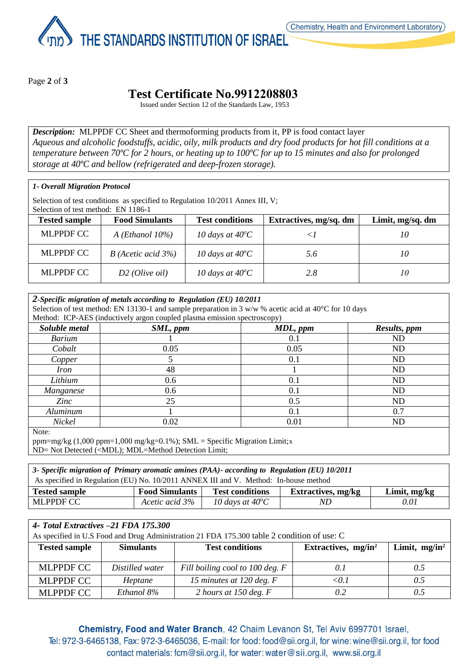THE STANDARDS INSTITUTION OF ISRAEL

Page **2** of **3**

## **Test Certificate No.9912208803**

Issued under Section 12 of the Standards Law, 1953

*Description:* MLPPDF CC Sheet and thermoforming products from it, PP is food contact layer *Aqueous and alcoholic foodstuffs, acidic, oily, milk products and dry food products for hot fill conditions at a temperature between 70ºC for 2 hours, or heating up to 100ºC for up to 15 minutes and also for prolonged storage at 40ºC and bellow (refrigerated and deep-frozen storage).*

#### *1- Overall Migration Protocol*

Selection of test conditions as specified to Regulation 10/2011 Annex III, V; Selection of test method: EN 1186-1

| $Section 01$ rest memoral $E[X]$ 1160-1 |                           |                           |                        |                  |  |
|-----------------------------------------|---------------------------|---------------------------|------------------------|------------------|--|
| <b>Tested sample</b>                    | <b>Food Simulants</b>     | <b>Test conditions</b>    | Extractives, mg/sq. dm | Limit, mg/sq. dm |  |
| <b>MLPPDF CC</b>                        | $A$ ( <i>Ethanol</i> 10%) | 10 days at $40^{\circ}$ C |                        | 10               |  |
| <b>MLPPDF CC</b>                        | $B$ (Acetic acid 3%)      | 10 days at $40^{\circ}$ C | 5.6                    | 10               |  |
| <b>MLPPDF CC</b>                        | $D2$ ( <i>Olive oil</i> ) | 10 days at $40^{\circ}$ C | 2.8                    | 10               |  |

#### *2-Specific migration of metals according to Regulation (EU) 10/2011* Selection of test method: EN 13130-1 and sample preparation in 3  $w/w$  % acetic acid at 40 $^{\circ}$ C for 10 days Method: ICP-AES (inductively argon coupled plasma emission spectroscopy) *Soluble metal SML, ppm MDL, ppm Results, ppm Barium* 1 1 0.1 ND *Cobalt* 0.05 0.05 ND *Copper* 1 5 5 0.1 ND *Iron* 1 ND *Lithium* 0.6 0.1 ND *Manganese* 1 0.6 0.1 1 ND *Zinc* 25 0.5 ND *Aluminum* 1 0.1 0.7 *Nickel* 0.02 0.01 ND Note:

ppm=mg/kg (1,000 ppm=1,000 mg/kg=0.1%); SML = Specific Migration Limit;x ND= Not Detected (<MDL); MDL=Method Detection Limit;

| 3- Specific migration of Primary aromatic amines (PAA)- according to Regulation (EU) 10/2011 |                       |                           |                           |                |
|----------------------------------------------------------------------------------------------|-----------------------|---------------------------|---------------------------|----------------|
| As specified in Regulation (EU) No. 10/2011 ANNEX III and V. Method: In-house method         |                       |                           |                           |                |
| <b>Tested sample</b>                                                                         | <b>Food Simulants</b> | <b>Test conditions</b>    | <b>Extractives, mg/kg</b> | Limit, $mg/kg$ |
| MLPPDF CC                                                                                    | Acetic acid 3%        | 10 days at $40^{\circ}$ C | ND                        | 0.01           |

| 4- Total Extractives -21 FDA 175.300<br>As specified in U.S Food and Drug Administration 21 FDA 175.300 table 2 condition of use: C |                  |                                 |                        |                  |
|-------------------------------------------------------------------------------------------------------------------------------------|------------------|---------------------------------|------------------------|------------------|
| <b>Tested sample</b>                                                                                                                | <b>Simulants</b> | <b>Test conditions</b>          | Extractives, $mg/in^2$ | Limit, $mg/in^2$ |
| <b>MLPPDF CC</b>                                                                                                                    | Distilled water  | Fill boiling cool to 100 deg. F | 0.1                    | 0.5              |
| <b>MLPPDF CC</b>                                                                                                                    | Heptane          | 15 minutes at 120 deg. F        | $\langle 01$           | 0.5              |
| <b>MLPPDF CC</b>                                                                                                                    | Ethanol 8%       | 2 hours at 150 deg. $F$         | 0.2                    | 0.5              |

Chemistry, Food and Water Branch, 42 Chaim Levanon St, Tel Aviv 6997701 Israel, Tel: 972-3-6465138, Fax: 972-3-6465036, E-mail: for food: food@sii.org.il, for wine: wine@sii.org.il, for food contact materials: fcm@sii.org.il, for water: water@sii.org.il, www.sii.org.il